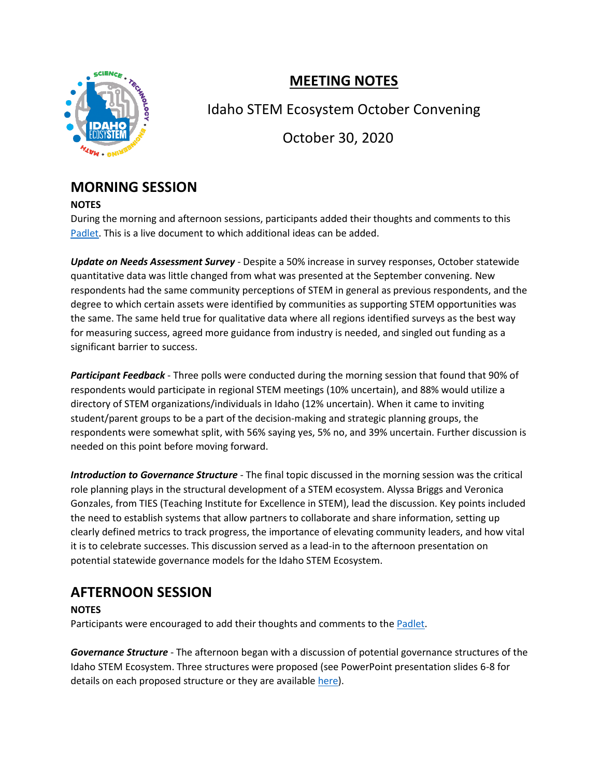

# **MEETING NOTES**

Idaho STEM Ecosystem October Convening

October 30, 2020

## **MORNING SESSION**

#### **NOTES**

During the morning and afternoon sessions, participants added their thoughts and comments to this [Padlet.](https://padlet.com/crispingravatt/cg4hbnu0jlh29uea) This is a live document to which additional ideas can be added.

*Update on Needs Assessment Survey* - Despite a 50% increase in survey responses, October statewide quantitative data was little changed from what was presented at the September convening. New respondents had the same community perceptions of STEM in general as previous respondents, and the degree to which certain assets were identified by communities as supporting STEM opportunities was the same. The same held true for qualitative data where all regions identified surveys as the best way for measuring success, agreed more guidance from industry is needed, and singled out funding as a significant barrier to success.

*Participant Feedback* - Three polls were conducted during the morning session that found that 90% of respondents would participate in regional STEM meetings (10% uncertain), and 88% would utilize a directory of STEM organizations/individuals in Idaho (12% uncertain). When it came to inviting student/parent groups to be a part of the decision-making and strategic planning groups, the respondents were somewhat split, with 56% saying yes, 5% no, and 39% uncertain. Further discussion is needed on this point before moving forward.

*Introduction to Governance Structure* - The final topic discussed in the morning session was the critical role planning plays in the structural development of a STEM ecosystem. Alyssa Briggs and Veronica Gonzales, from TIES (Teaching Institute for Excellence in STEM), lead the discussion. Key points included the need to establish systems that allow partners to collaborate and share information, setting up clearly defined metrics to track progress, the importance of elevating community leaders, and how vital it is to celebrate successes. This discussion served as a lead-in to the afternoon presentation on potential statewide governance models for the Idaho STEM Ecosystem.

## **AFTERNOON SESSION**

### **NOTES**

Participants were encouraged to add their thoughts and comments to the [Padlet.](https://padlet.com/crispingravatt/cg4hbnu0jlh29uea)

*Governance Structure* - The afternoon began with a discussion of potential governance structures of the Idaho STEM Ecosystem. Three structures were proposed (see PowerPoint presentation slides 6-8 for details on each proposed structure or they are available [here\)](https://stem.idaho.gov/wp-content/uploads/2020/10/Idaho-STEM-Ecosystem-Governance-Model-Proposal-and-Discussion-Questions.pdf).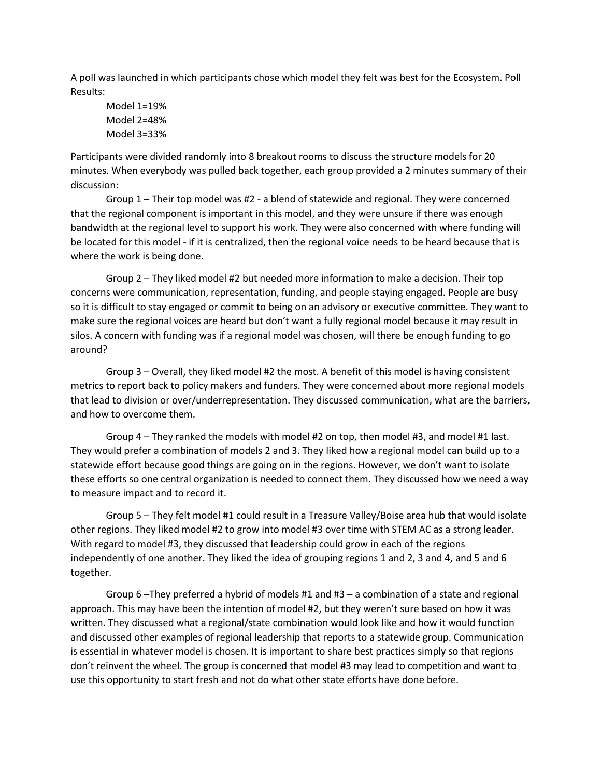A poll was launched in which participants chose which model they felt was best for the Ecosystem. Poll Results:

Model 1=19% Model 2=48% Model 3=33%

Participants were divided randomly into 8 breakout rooms to discuss the structure models for 20 minutes. When everybody was pulled back together, each group provided a 2 minutes summary of their discussion:

Group 1 – Their top model was #2 - a blend of statewide and regional. They were concerned that the regional component is important in this model, and they were unsure if there was enough bandwidth at the regional level to support his work. They were also concerned with where funding will be located for this model - if it is centralized, then the regional voice needs to be heard because that is where the work is being done.

Group 2 – They liked model #2 but needed more information to make a decision. Their top concerns were communication, representation, funding, and people staying engaged. People are busy so it is difficult to stay engaged or commit to being on an advisory or executive committee. They want to make sure the regional voices are heard but don't want a fully regional model because it may result in silos. A concern with funding was if a regional model was chosen, will there be enough funding to go around?

Group 3 – Overall, they liked model #2 the most. A benefit of this model is having consistent metrics to report back to policy makers and funders. They were concerned about more regional models that lead to division or over/underrepresentation. They discussed communication, what are the barriers, and how to overcome them.

Group 4 – They ranked the models with model #2 on top, then model #3, and model #1 last. They would prefer a combination of models 2 and 3. They liked how a regional model can build up to a statewide effort because good things are going on in the regions. However, we don't want to isolate these efforts so one central organization is needed to connect them. They discussed how we need a way to measure impact and to record it.

Group 5 – They felt model #1 could result in a Treasure Valley/Boise area hub that would isolate other regions. They liked model #2 to grow into model #3 over time with STEM AC as a strong leader. With regard to model #3, they discussed that leadership could grow in each of the regions independently of one another. They liked the idea of grouping regions 1 and 2, 3 and 4, and 5 and 6 together.

Group 6 –They preferred a hybrid of models #1 and #3 – a combination of a state and regional approach. This may have been the intention of model #2, but they weren't sure based on how it was written. They discussed what a regional/state combination would look like and how it would function and discussed other examples of regional leadership that reports to a statewide group. Communication is essential in whatever model is chosen. It is important to share best practices simply so that regions don't reinvent the wheel. The group is concerned that model #3 may lead to competition and want to use this opportunity to start fresh and not do what other state efforts have done before.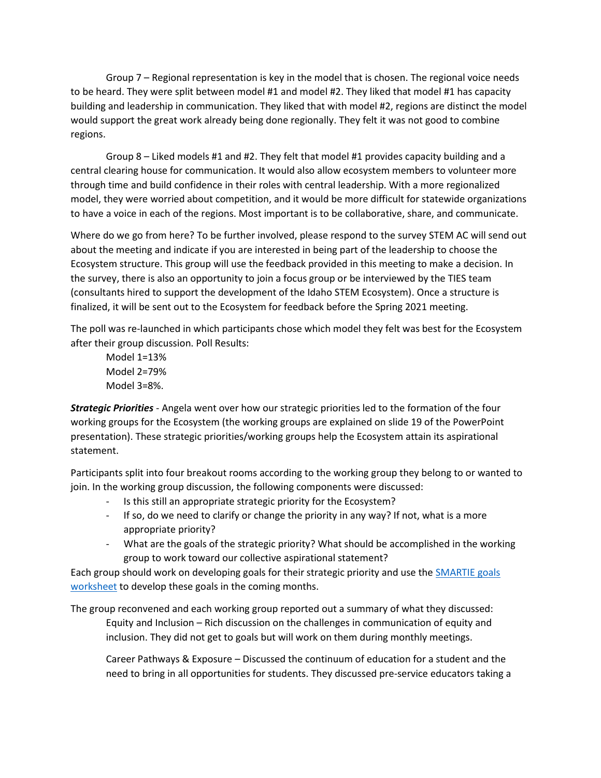Group 7 – Regional representation is key in the model that is chosen. The regional voice needs to be heard. They were split between model #1 and model #2. They liked that model #1 has capacity building and leadership in communication. They liked that with model #2, regions are distinct the model would support the great work already being done regionally. They felt it was not good to combine regions.

Group 8 – Liked models #1 and #2. They felt that model #1 provides capacity building and a central clearing house for communication. It would also allow ecosystem members to volunteer more through time and build confidence in their roles with central leadership. With a more regionalized model, they were worried about competition, and it would be more difficult for statewide organizations to have a voice in each of the regions. Most important is to be collaborative, share, and communicate.

Where do we go from here? To be further involved, please respond to the survey STEM AC will send out about the meeting and indicate if you are interested in being part of the leadership to choose the Ecosystem structure. This group will use the feedback provided in this meeting to make a decision. In the survey, there is also an opportunity to join a focus group or be interviewed by the TIES team (consultants hired to support the development of the Idaho STEM Ecosystem). Once a structure is finalized, it will be sent out to the Ecosystem for feedback before the Spring 2021 meeting.

The poll was re-launched in which participants chose which model they felt was best for the Ecosystem after their group discussion. Poll Results:

Model 1=13% Model 2=79% Model 3=8%.

*Strategic Priorities* - Angela went over how our strategic priorities led to the formation of the four working groups for the Ecosystem (the working groups are explained on slide 19 of the PowerPoint presentation). These strategic priorities/working groups help the Ecosystem attain its aspirational statement.

Participants split into four breakout rooms according to the working group they belong to or wanted to join. In the working group discussion, the following components were discussed:

- Is this still an appropriate strategic priority for the Ecosystem?
- If so, do we need to clarify or change the priority in any way? If not, what is a more appropriate priority?
- What are the goals of the strategic priority? What should be accomplished in the working group to work toward our collective aspirational statement?

Each group should work on developing goals for their strategic priority and use the [SMARTIE goals](https://stem.idaho.gov/wp-content/uploads/2020/10/SMARTIEGoalWksheet.docx)  [worksheet](https://stem.idaho.gov/wp-content/uploads/2020/10/SMARTIEGoalWksheet.docx) to develop these goals in the coming months.

The group reconvened and each working group reported out a summary of what they discussed: Equity and Inclusion – Rich discussion on the challenges in communication of equity and inclusion. They did not get to goals but will work on them during monthly meetings.

Career Pathways & Exposure – Discussed the continuum of education for a student and the need to bring in all opportunities for students. They discussed pre-service educators taking a